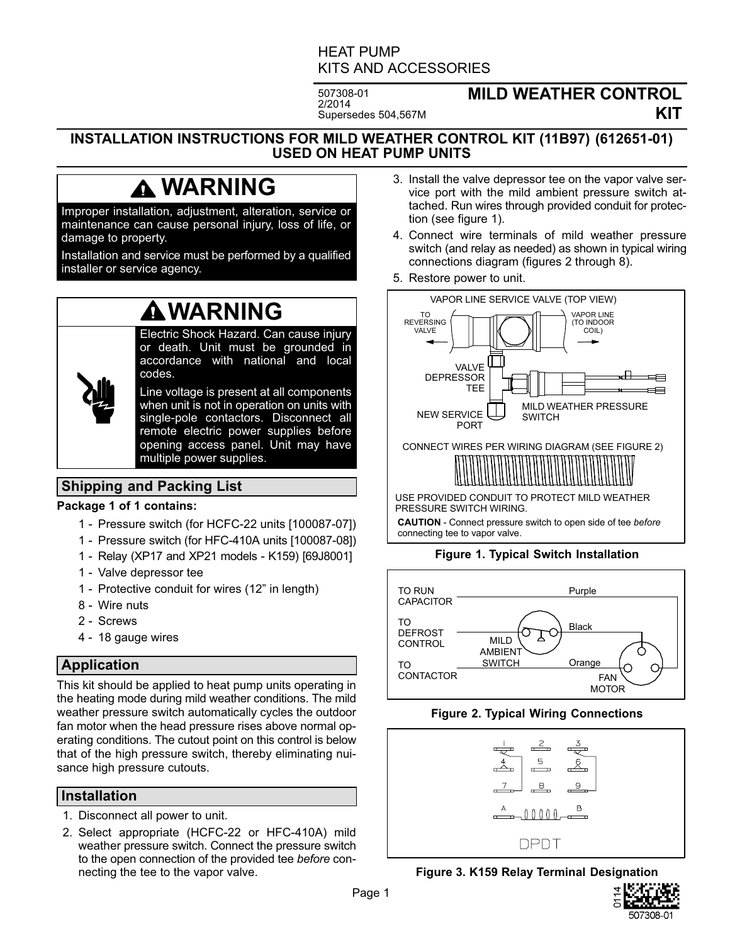# HEAT PUMP KITS AND ACCESSORIES

507308-01 2/2014 Supersedes 504,567M

# **MILD WEATHER CONTROL KIT**

#### **INSTALLATION INSTRUCTIONS FOR MILD WEATHER CONTROL KIT (11B97) (612651-01) USED ON HEAT PUMP UNITS**

# **WARNING**

Improper installation, adjustment, alteration, service or maintenance can cause personal injury, loss of life, or damage to property.

Installation and service must be performed by a qualified installer or service agency.

# **WARNING**

Electric Shock Hazard. Can cause injury or death. Unit must be grounded in accordance with national and local codes.

Line voltage is present at all components when unit is not in operation on units with single‐pole contactors. Disconnect all remote electric power supplies before opening access panel. Unit may have multiple power supplies.

# **Shipping and Packing List**

#### **Package 1 of 1 contains:**

- 1 Pressure switch (for HCFC-22 units [100087-07])
- 1 Pressure switch (for HFC-410A units [100087-08])
- 1 Relay (XP17 and XP21 models K159) [69J8001]
- 1 Valve depressor tee
- 1 Protective conduit for wires (12" in length)
- 8 Wire nuts
- 2 Screws
- 4 18 gauge wires

## **Application**

This kit should be applied to heat pump units operating in the heating mode during mild weather conditions. The mild weather pressure switch automatically cycles the outdoor fan motor when the head pressure rises above normal operating conditions. The cutout point on this control is below that of the high pressure switch, thereby eliminating nuisance high pressure cutouts.

#### **Installation**

- 1. Disconnect all power to unit.
- 2. Select appropriate (HCFC-22 or HFC-410A) mild weather pressure switch. Connect the pressure switch to the open connection of the provided tee *before* connecting the tee to the vapor valve.
- 3. Install the valve depressor tee on the vapor valve service port with the mild ambient pressure switch attached. Run wires through provided conduit for protection (see figure 1).
- 4. Connect wire terminals of mild weather pressure switch (and relay as needed) as shown in typical wiring connections diagram (figures 2 through [8\)](#page-3-0).
- 5. Restore power to unit.



**CAUTION** - Connect pressure switch to open side of tee *before* connecting tee to vapor valve.

## **Figure 1. Typical Switch Installation**



#### **Figure 2. Typical Wiring Connections**



**Figure 3. K159 Relay Terminal Designation**

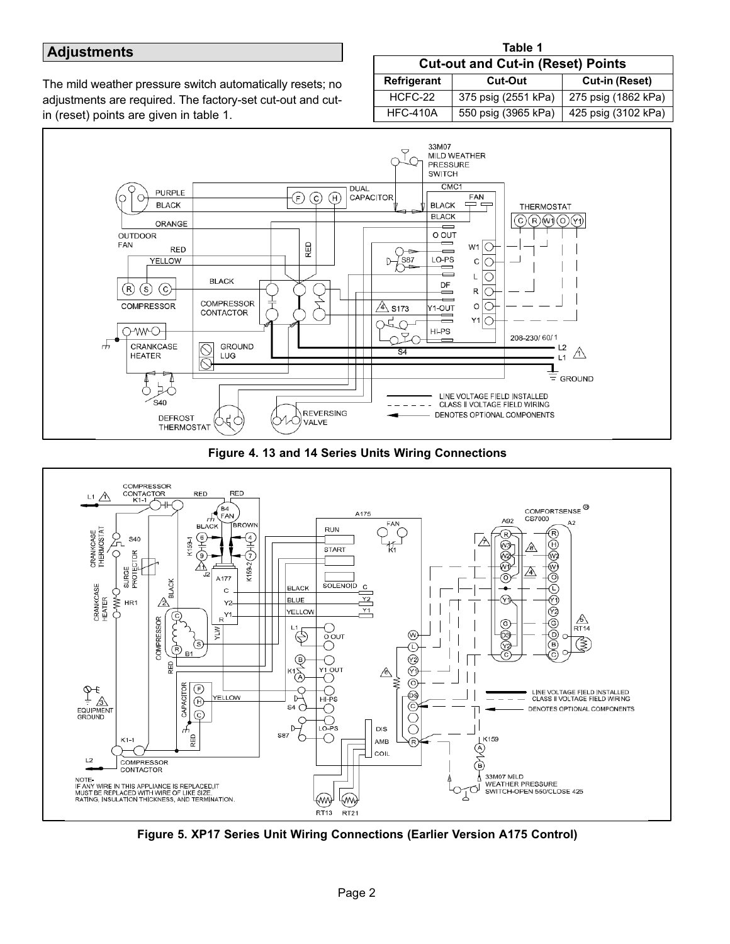### **Adjustments**

The mild weather pressure switch automatically resets; no adjustments are required. The factory-set cut-out and cutin (reset) points are given in table 1.

| Table 1                                  |                     |                       |
|------------------------------------------|---------------------|-----------------------|
| <b>Cut-out and Cut-in (Reset) Points</b> |                     |                       |
| <b>Refrigerant</b>                       | Cut-Out             | <b>Cut-in (Reset)</b> |
| HCFC-22                                  | 375 psig (2551 kPa) | 275 psig (1862 kPa)   |
| <b>HFC-410A</b>                          | 550 psig (3965 kPa) | 425 psig (3102 kPa)   |

**Table 1** 







**Figure 5. XP17 Series Unit Wiring Connections (Earlier Version A175 Control)**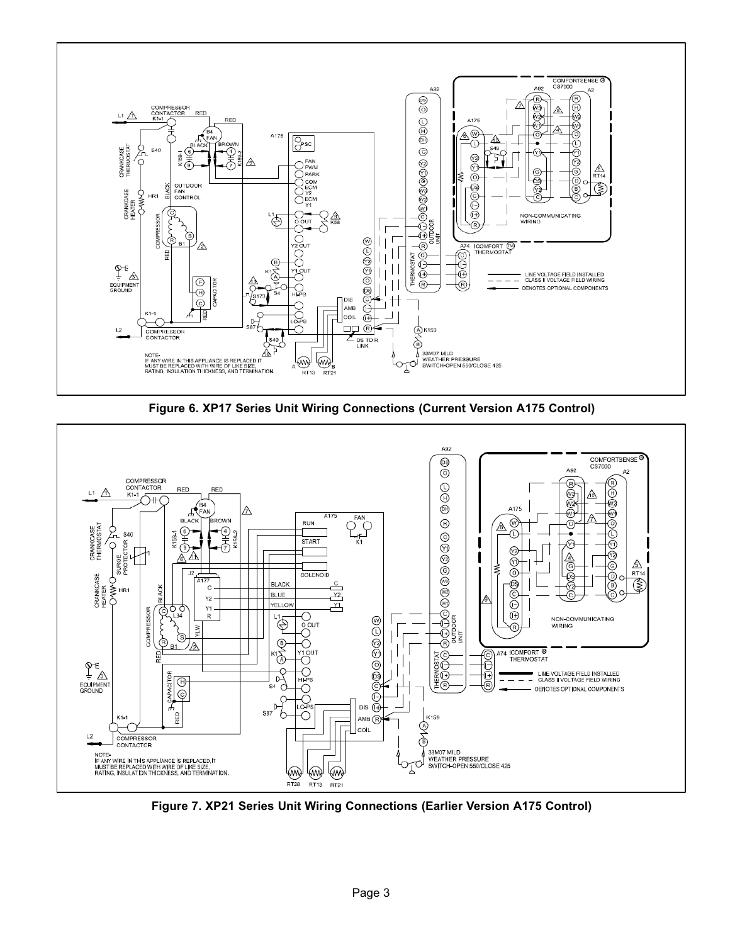

**Figure 6. XP17 Series Unit Wiring Connections (Current Version A175 Control)**



**Figure 7. XP21 Series Unit Wiring Connections (Earlier Version A175 Control)**